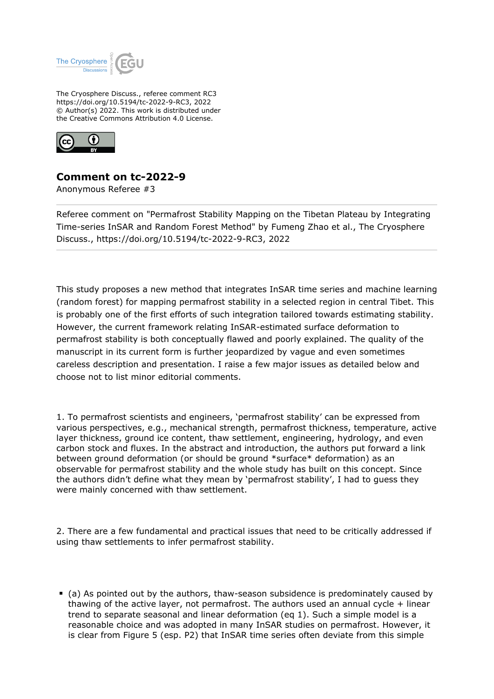

The Cryosphere Discuss., referee comment RC3 https://doi.org/10.5194/tc-2022-9-RC3, 2022 © Author(s) 2022. This work is distributed under the Creative Commons Attribution 4.0 License.



## **Comment on tc-2022-9**

Anonymous Referee #3

Referee comment on "Permafrost Stability Mapping on the Tibetan Plateau by Integrating Time-series InSAR and Random Forest Method" by Fumeng Zhao et al., The Cryosphere Discuss., https://doi.org/10.5194/tc-2022-9-RC3, 2022

This study proposes a new method that integrates InSAR time series and machine learning (random forest) for mapping permafrost stability in a selected region in central Tibet. This is probably one of the first efforts of such integration tailored towards estimating stability. However, the current framework relating InSAR-estimated surface deformation to permafrost stability is both conceptually flawed and poorly explained. The quality of the manuscript in its current form is further jeopardized by vague and even sometimes careless description and presentation. I raise a few major issues as detailed below and choose not to list minor editorial comments.

1. To permafrost scientists and engineers, 'permafrost stability' can be expressed from various perspectives, e.g., mechanical strength, permafrost thickness, temperature, active layer thickness, ground ice content, thaw settlement, engineering, hydrology, and even carbon stock and fluxes. In the abstract and introduction, the authors put forward a link between ground deformation (or should be ground \*surface\* deformation) as an observable for permafrost stability and the whole study has built on this concept. Since the authors didn't define what they mean by 'permafrost stability', I had to guess they were mainly concerned with thaw settlement.

2. There are a few fundamental and practical issues that need to be critically addressed if using thaw settlements to infer permafrost stability.

(a) As pointed out by the authors, thaw-season subsidence is predominately caused by thawing of the active layer, not permafrost. The authors used an annual cycle + linear trend to separate seasonal and linear deformation (eq 1). Such a simple model is a reasonable choice and was adopted in many InSAR studies on permafrost. However, it is clear from Figure 5 (esp. P2) that InSAR time series often deviate from this simple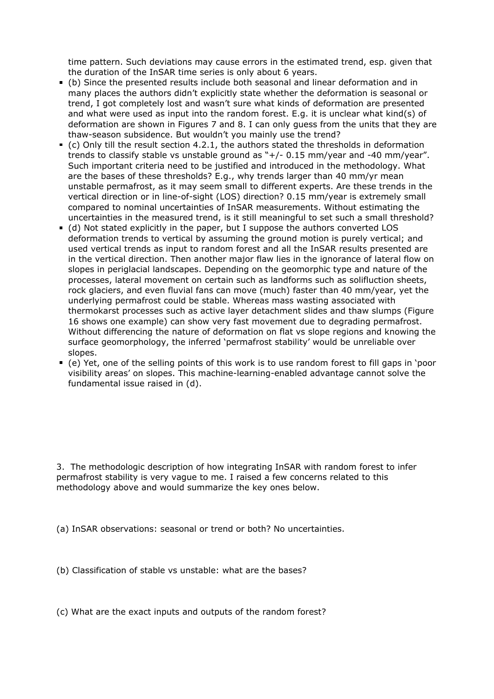time pattern. Such deviations may cause errors in the estimated trend, esp. given that the duration of the InSAR time series is only about 6 years.

- (b) Since the presented results include both seasonal and linear deformation and in many places the authors didn't explicitly state whether the deformation is seasonal or trend, I got completely lost and wasn't sure what kinds of deformation are presented and what were used as input into the random forest. E.g. it is unclear what kind(s) of deformation are shown in Figures 7 and 8. I can only guess from the units that they are thaw-season subsidence. But wouldn't you mainly use the trend?
- (c) Only till the result section 4.2.1, the authors stated the thresholds in deformation trends to classify stable vs unstable ground as "+/- 0.15 mm/year and -40 mm/year". Such important criteria need to be justified and introduced in the methodology. What are the bases of these thresholds? E.g., why trends larger than 40 mm/yr mean unstable permafrost, as it may seem small to different experts. Are these trends in the vertical direction or in line-of-sight (LOS) direction? 0.15 mm/year is extremely small compared to nominal uncertainties of InSAR measurements. Without estimating the uncertainties in the measured trend, is it still meaningful to set such a small threshold?
- (d) Not stated explicitly in the paper, but I suppose the authors converted LOS deformation trends to vertical by assuming the ground motion is purely vertical; and used vertical trends as input to random forest and all the InSAR results presented are in the vertical direction. Then another major flaw lies in the ignorance of lateral flow on slopes in periglacial landscapes. Depending on the geomorphic type and nature of the processes, lateral movement on certain such as landforms such as solifluction sheets, rock glaciers, and even fluvial fans can move (much) faster than 40 mm/year, yet the underlying permafrost could be stable. Whereas mass wasting associated with thermokarst processes such as active layer detachment slides and thaw slumps (Figure 16 shows one example) can show very fast movement due to degrading permafrost. Without differencing the nature of deformation on flat vs slope regions and knowing the surface geomorphology, the inferred 'permafrost stability' would be unreliable over slopes.
- (e) Yet, one of the selling points of this work is to use random forest to fill gaps in 'poor visibility areas' on slopes. This machine-learning-enabled advantage cannot solve the fundamental issue raised in (d).

3. The methodologic description of how integrating InSAR with random forest to infer permafrost stability is very vague to me. I raised a few concerns related to this methodology above and would summarize the key ones below.

(a) InSAR observations: seasonal or trend or both? No uncertainties.

(b) Classification of stable vs unstable: what are the bases?

(c) What are the exact inputs and outputs of the random forest?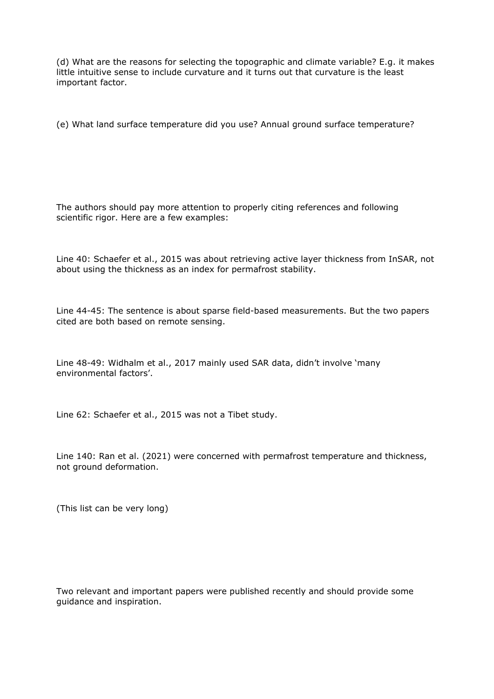(d) What are the reasons for selecting the topographic and climate variable? E.g. it makes little intuitive sense to include curvature and it turns out that curvature is the least important factor.

(e) What land surface temperature did you use? Annual ground surface temperature?

The authors should pay more attention to properly citing references and following scientific rigor. Here are a few examples:

Line 40: Schaefer et al., 2015 was about retrieving active layer thickness from InSAR, not about using the thickness as an index for permafrost stability.

Line 44-45: The sentence is about sparse field-based measurements. But the two papers cited are both based on remote sensing.

Line 48-49: Widhalm et al., 2017 mainly used SAR data, didn't involve 'many environmental factors'.

Line 62: Schaefer et al., 2015 was not a Tibet study.

Line 140: Ran et al. (2021) were concerned with permafrost temperature and thickness, not ground deformation.

(This list can be very long)

Two relevant and important papers were published recently and should provide some guidance and inspiration.